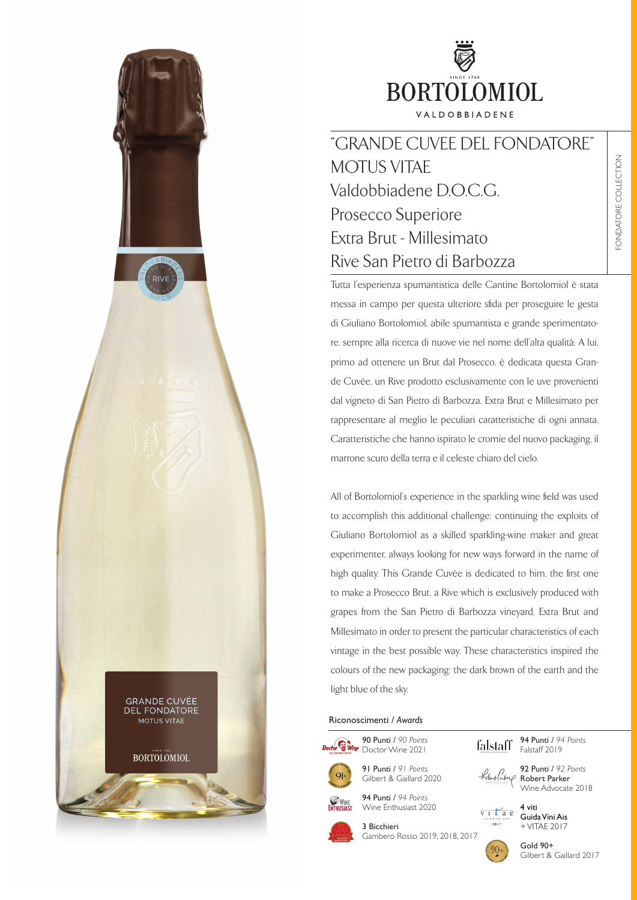

"GRANDE CUVEE DEL FONDATORE" MOTUS VITAE Valdobbiadene D.O.C.C. Prosecco Superiore Extra Brut - Millesimato Rive San Pietro di Barbozza

Tutta l'esperienza spumantistica delle Cantine Bortolomiol è stata messa in campo per questa ulteriore sfida per proseguire le gesta di Giuliano Bortolomiol, abile spumantista e grande sperimentatore, sempre alla ricerca di nuove vie nel nome dell'alta qualità. A lui, primo ad ottenere un Brut dal Prosecco, è dedicata questa Grande Cuvèe, un Rive prodotto esclusivamente con le uve provenienti dal vigneto di San Pietro di Barbozza, Extra Brut e Millesimato per rappresentare al meglio le peculiari caratteristiche di ogni annata. Caratteristiche che hanno ispirato le cromie del nuovo packaging, il marrone scuro della terra e il celeste chiaro del cielo.

All of Bortolomiol's experience in the sparkling wine field was used to accomplish this additional challenge: continuing the exploits of Giuliano Bortolomiol as a skilled sparkling-wine maker and great experimenter, always looking for new ways forward in the name of high quality. This Grande Cuvèe is dedicated to him, the first one to make a Prosecco Brut, a Rive which is exclusively produced with grapes from the San Pietro di Barbozza vineyard, Extra Brut and Millesimato in order to present the particular characteristics of each vintage in the best possible way. These characteristics inspired the colours of the new packaging: the dark brown of the earth and the light blue of the sky.

### Riconoscimenti / *Awards*



91 Punti / *91 Points* Gilbert & Gaillard 2020

94 Punti / *94 Points* Wine Enthusiast 2020



3 Bicchieri Gambero Rosso 2019, 2018, 2017

94 Punti / *94 Points* falstaff Falstaff 2019





+ VITAE 2017

Gold 90+ Gilbert & Gaillard 2017



**GRANDE CUVÉE DEL FONDATORE** MOTUS VITAE BORTOLOMIOL